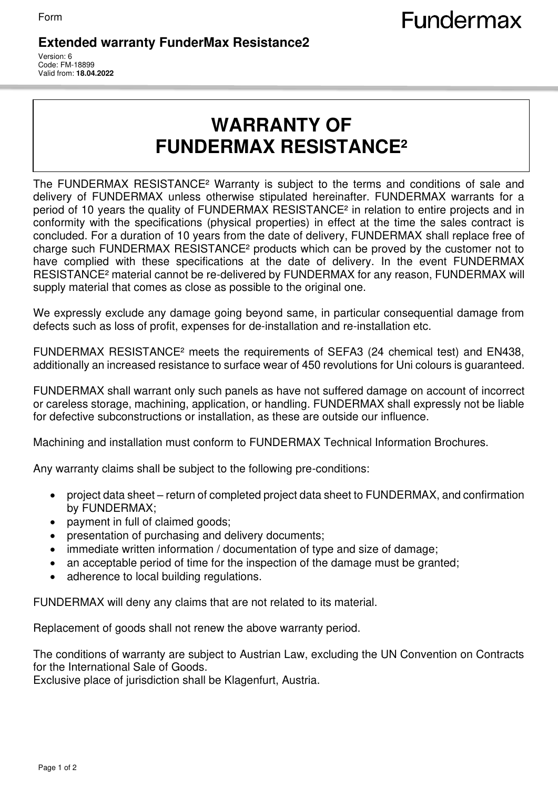## **Extended warranty FunderMax Resistance2**

Version: 6 Code: FM-18899 Valid from: **18.04.2022**

## **WARRANTY OF FUNDERMAX RESISTANCE²**

The FUNDERMAX RESISTANCE² Warranty is subject to the terms and conditions of sale and delivery of FUNDERMAX unless otherwise stipulated hereinafter. FUNDERMAX warrants for a period of 10 years the quality of FUNDERMAX RESISTANCE² in relation to entire projects and in conformity with the specifications (physical properties) in effect at the time the sales contract is concluded. For a duration of 10 years from the date of delivery, FUNDERMAX shall replace free of charge such FUNDERMAX RESISTANCE² products which can be proved by the customer not to have complied with these specifications at the date of delivery. In the event FUNDERMAX RESISTANCE² material cannot be re-delivered by FUNDERMAX for any reason, FUNDERMAX will supply material that comes as close as possible to the original one.

We expressly exclude any damage going beyond same, in particular consequential damage from defects such as loss of profit, expenses for de-installation and re-installation etc.

FUNDERMAX RESISTANCE² meets the requirements of SEFA3 (24 chemical test) and EN438, additionally an increased resistance to surface wear of 450 revolutions for Uni colours is guaranteed.

FUNDERMAX shall warrant only such panels as have not suffered damage on account of incorrect or careless storage, machining, application, or handling. FUNDERMAX shall expressly not be liable for defective subconstructions or installation, as these are outside our influence.

Machining and installation must conform to FUNDERMAX Technical Information Brochures.

Any warranty claims shall be subject to the following pre-conditions:

- project data sheet return of completed project data sheet to FUNDERMAX, and confirmation by FUNDERMAX;
- payment in full of claimed goods;
- presentation of purchasing and delivery documents;
- immediate written information / documentation of type and size of damage;
- an acceptable period of time for the inspection of the damage must be granted;
- adherence to local building regulations.

FUNDERMAX will deny any claims that are not related to its material.

Replacement of goods shall not renew the above warranty period.

The conditions of warranty are subject to Austrian Law, excluding the UN Convention on Contracts for the International Sale of Goods.

Exclusive place of jurisdiction shall be Klagenfurt, Austria.